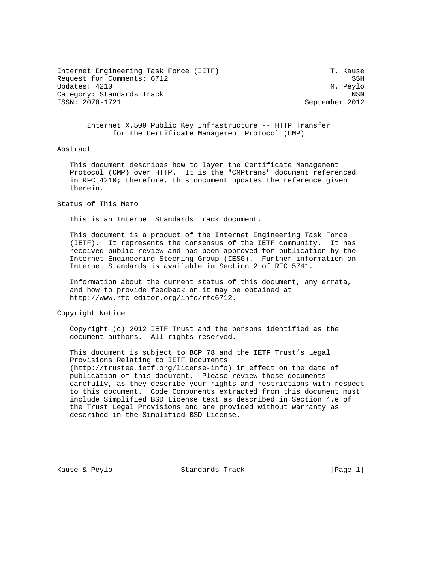Internet Engineering Task Force (IETF) T. Kause Request for Comments: 6712 SSH Updates: 4210 M. Peylo Category: Standards Track NSN

September 2012

 Internet X.509 Public Key Infrastructure -- HTTP Transfer for the Certificate Management Protocol (CMP)

## Abstract

 This document describes how to layer the Certificate Management Protocol (CMP) over HTTP. It is the "CMPtrans" document referenced in RFC 4210; therefore, this document updates the reference given therein.

## Status of This Memo

This is an Internet Standards Track document.

 This document is a product of the Internet Engineering Task Force (IETF). It represents the consensus of the IETF community. It has received public review and has been approved for publication by the Internet Engineering Steering Group (IESG). Further information on Internet Standards is available in Section 2 of RFC 5741.

 Information about the current status of this document, any errata, and how to provide feedback on it may be obtained at http://www.rfc-editor.org/info/rfc6712.

Copyright Notice

 Copyright (c) 2012 IETF Trust and the persons identified as the document authors. All rights reserved.

 This document is subject to BCP 78 and the IETF Trust's Legal Provisions Relating to IETF Documents (http://trustee.ietf.org/license-info) in effect on the date of publication of this document. Please review these documents carefully, as they describe your rights and restrictions with respect to this document. Code Components extracted from this document must include Simplified BSD License text as described in Section 4.e of the Trust Legal Provisions and are provided without warranty as described in the Simplified BSD License.

Kause & Peylo Standards Track [Page 1]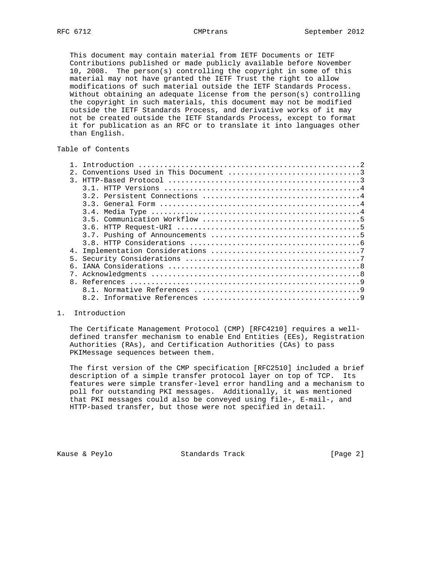This document may contain material from IETF Documents or IETF Contributions published or made publicly available before November 10, 2008. The person(s) controlling the copyright in some of this material may not have granted the IETF Trust the right to allow modifications of such material outside the IETF Standards Process. Without obtaining an adequate license from the person(s) controlling the copyright in such materials, this document may not be modified outside the IETF Standards Process, and derivative works of it may not be created outside the IETF Standards Process, except to format it for publication as an RFC or to translate it into languages other than English.

# Table of Contents

| $2^{\circ}$   |  |
|---------------|--|
| $\mathcal{R}$ |  |
|               |  |
|               |  |
|               |  |
|               |  |
|               |  |
|               |  |
|               |  |
|               |  |
|               |  |
|               |  |
| რ.            |  |
|               |  |
|               |  |
|               |  |
|               |  |

# 1. Introduction

 The Certificate Management Protocol (CMP) [RFC4210] requires a well defined transfer mechanism to enable End Entities (EEs), Registration Authorities (RAs), and Certification Authorities (CAs) to pass PKIMessage sequences between them.

 The first version of the CMP specification [RFC2510] included a brief description of a simple transfer protocol layer on top of TCP. Its features were simple transfer-level error handling and a mechanism to poll for outstanding PKI messages. Additionally, it was mentioned that PKI messages could also be conveyed using file-, E-mail-, and HTTP-based transfer, but those were not specified in detail.

Kause & Peylo Standards Track [Page 2]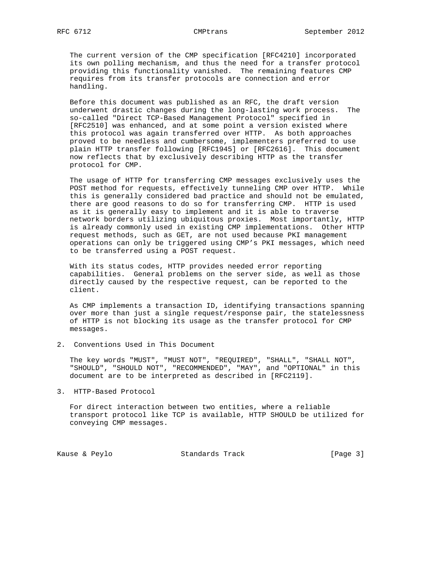The current version of the CMP specification [RFC4210] incorporated its own polling mechanism, and thus the need for a transfer protocol providing this functionality vanished. The remaining features CMP requires from its transfer protocols are connection and error handling.

 Before this document was published as an RFC, the draft version underwent drastic changes during the long-lasting work process. The so-called "Direct TCP-Based Management Protocol" specified in [RFC2510] was enhanced, and at some point a version existed where this protocol was again transferred over HTTP. As both approaches proved to be needless and cumbersome, implementers preferred to use plain HTTP transfer following [RFC1945] or [RFC2616]. This document now reflects that by exclusively describing HTTP as the transfer protocol for CMP.

 The usage of HTTP for transferring CMP messages exclusively uses the POST method for requests, effectively tunneling CMP over HTTP. While this is generally considered bad practice and should not be emulated, there are good reasons to do so for transferring CMP. HTTP is used as it is generally easy to implement and it is able to traverse network borders utilizing ubiquitous proxies. Most importantly, HTTP is already commonly used in existing CMP implementations. Other HTTP request methods, such as GET, are not used because PKI management operations can only be triggered using CMP's PKI messages, which need to be transferred using a POST request.

 With its status codes, HTTP provides needed error reporting capabilities. General problems on the server side, as well as those directly caused by the respective request, can be reported to the client.

 As CMP implements a transaction ID, identifying transactions spanning over more than just a single request/response pair, the statelessness of HTTP is not blocking its usage as the transfer protocol for CMP messages.

2. Conventions Used in This Document

 The key words "MUST", "MUST NOT", "REQUIRED", "SHALL", "SHALL NOT", "SHOULD", "SHOULD NOT", "RECOMMENDED", "MAY", and "OPTIONAL" in this document are to be interpreted as described in [RFC2119].

3. HTTP-Based Protocol

 For direct interaction between two entities, where a reliable transport protocol like TCP is available, HTTP SHOULD be utilized for conveying CMP messages.

Kause & Peylo Standards Track [Page 3]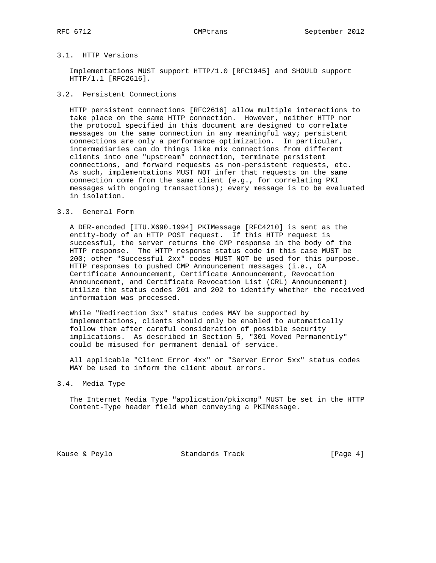# 3.1. HTTP Versions

 Implementations MUST support HTTP/1.0 [RFC1945] and SHOULD support HTTP/1.1 [RFC2616].

# 3.2. Persistent Connections

 HTTP persistent connections [RFC2616] allow multiple interactions to take place on the same HTTP connection. However, neither HTTP nor the protocol specified in this document are designed to correlate messages on the same connection in any meaningful way; persistent connections are only a performance optimization. In particular, intermediaries can do things like mix connections from different clients into one "upstream" connection, terminate persistent connections, and forward requests as non-persistent requests, etc. As such, implementations MUST NOT infer that requests on the same connection come from the same client (e.g., for correlating PKI messages with ongoing transactions); every message is to be evaluated in isolation.

## 3.3. General Form

 A DER-encoded [ITU.X690.1994] PKIMessage [RFC4210] is sent as the entity-body of an HTTP POST request. If this HTTP request is successful, the server returns the CMP response in the body of the HTTP response. The HTTP response status code in this case MUST be 200; other "Successful 2xx" codes MUST NOT be used for this purpose. HTTP responses to pushed CMP Announcement messages (i.e., CA Certificate Announcement, Certificate Announcement, Revocation Announcement, and Certificate Revocation List (CRL) Announcement) utilize the status codes 201 and 202 to identify whether the received information was processed.

 While "Redirection 3xx" status codes MAY be supported by implementations, clients should only be enabled to automatically follow them after careful consideration of possible security implications. As described in Section 5, "301 Moved Permanently" could be misused for permanent denial of service.

 All applicable "Client Error 4xx" or "Server Error 5xx" status codes MAY be used to inform the client about errors.

### 3.4. Media Type

 The Internet Media Type "application/pkixcmp" MUST be set in the HTTP Content-Type header field when conveying a PKIMessage.

Kause & Peylo **Standards Track** [Page 4]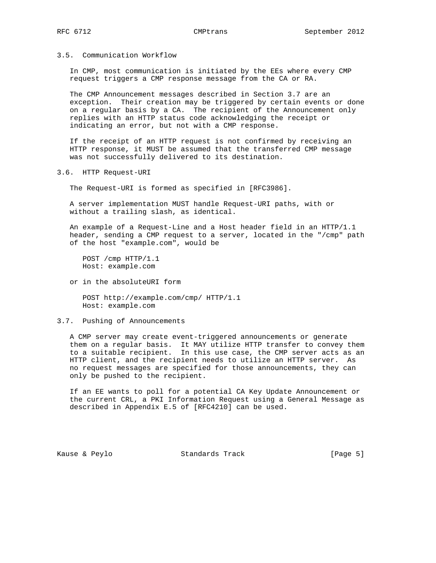# 3.5. Communication Workflow

 In CMP, most communication is initiated by the EEs where every CMP request triggers a CMP response message from the CA or RA.

 The CMP Announcement messages described in Section 3.7 are an exception. Their creation may be triggered by certain events or done on a regular basis by a CA. The recipient of the Announcement only replies with an HTTP status code acknowledging the receipt or indicating an error, but not with a CMP response.

 If the receipt of an HTTP request is not confirmed by receiving an HTTP response, it MUST be assumed that the transferred CMP message was not successfully delivered to its destination.

3.6. HTTP Request-URI

The Request-URI is formed as specified in [RFC3986].

 A server implementation MUST handle Request-URI paths, with or without a trailing slash, as identical.

 An example of a Request-Line and a Host header field in an HTTP/1.1 header, sending a CMP request to a server, located in the "/cmp" path of the host "example.com", would be

 POST /cmp HTTP/1.1 Host: example.com

or in the absoluteURI form

 POST http://example.com/cmp/ HTTP/1.1 Host: example.com

## 3.7. Pushing of Announcements

 A CMP server may create event-triggered announcements or generate them on a regular basis. It MAY utilize HTTP transfer to convey them to a suitable recipient. In this use case, the CMP server acts as an HTTP client, and the recipient needs to utilize an HTTP server. As no request messages are specified for those announcements, they can only be pushed to the recipient.

 If an EE wants to poll for a potential CA Key Update Announcement or the current CRL, a PKI Information Request using a General Message as described in Appendix E.5 of [RFC4210] can be used.

Kause & Peylo **Standards Track** [Page 5]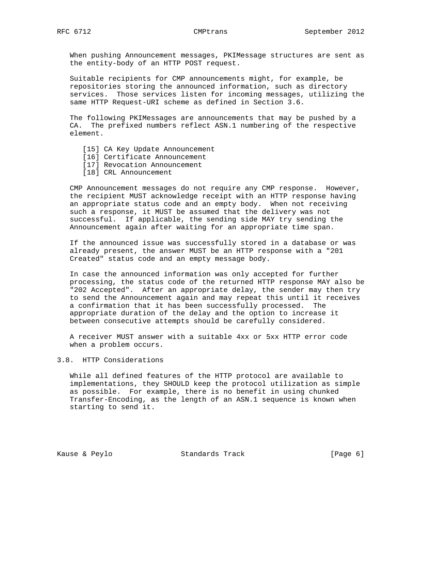When pushing Announcement messages, PKIMessage structures are sent as the entity-body of an HTTP POST request.

 Suitable recipients for CMP announcements might, for example, be repositories storing the announced information, such as directory services. Those services listen for incoming messages, utilizing the same HTTP Request-URI scheme as defined in Section 3.6.

 The following PKIMessages are announcements that may be pushed by a CA. The prefixed numbers reflect ASN.1 numbering of the respective element.

- [15] CA Key Update Announcement
- [16] Certificate Announcement
- [17] Revocation Announcement
- [18] CRL Announcement

 CMP Announcement messages do not require any CMP response. However, the recipient MUST acknowledge receipt with an HTTP response having an appropriate status code and an empty body. When not receiving such a response, it MUST be assumed that the delivery was not successful. If applicable, the sending side MAY try sending the Announcement again after waiting for an appropriate time span.

 If the announced issue was successfully stored in a database or was already present, the answer MUST be an HTTP response with a "201 Created" status code and an empty message body.

 In case the announced information was only accepted for further processing, the status code of the returned HTTP response MAY also be "202 Accepted". After an appropriate delay, the sender may then try to send the Announcement again and may repeat this until it receives a confirmation that it has been successfully processed. The appropriate duration of the delay and the option to increase it between consecutive attempts should be carefully considered.

 A receiver MUST answer with a suitable 4xx or 5xx HTTP error code when a problem occurs.

## 3.8. HTTP Considerations

 While all defined features of the HTTP protocol are available to implementations, they SHOULD keep the protocol utilization as simple as possible. For example, there is no benefit in using chunked Transfer-Encoding, as the length of an ASN.1 sequence is known when starting to send it.

Kause & Peylo **Standards Track** [Page 6]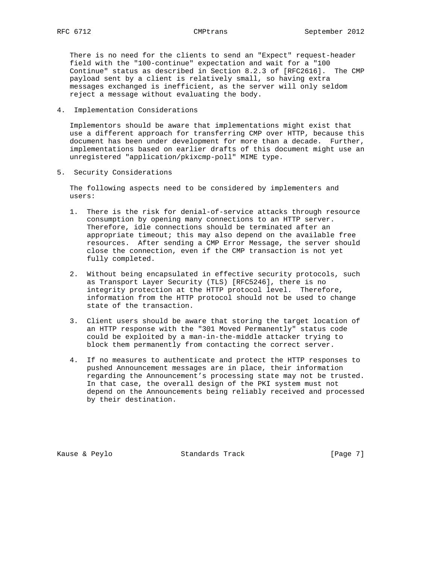There is no need for the clients to send an "Expect" request-header field with the "100-continue" expectation and wait for a "100 Continue" status as described in Section 8.2.3 of [RFC2616]. The CMP payload sent by a client is relatively small, so having extra messages exchanged is inefficient, as the server will only seldom reject a message without evaluating the body.

4. Implementation Considerations

 Implementors should be aware that implementations might exist that use a different approach for transferring CMP over HTTP, because this document has been under development for more than a decade. Further, implementations based on earlier drafts of this document might use an unregistered "application/pkixcmp-poll" MIME type.

5. Security Considerations

 The following aspects need to be considered by implementers and users:

- 1. There is the risk for denial-of-service attacks through resource consumption by opening many connections to an HTTP server. Therefore, idle connections should be terminated after an appropriate timeout; this may also depend on the available free resources. After sending a CMP Error Message, the server should close the connection, even if the CMP transaction is not yet fully completed.
- 2. Without being encapsulated in effective security protocols, such as Transport Layer Security (TLS) [RFC5246], there is no integrity protection at the HTTP protocol level. Therefore, information from the HTTP protocol should not be used to change state of the transaction.
- 3. Client users should be aware that storing the target location of an HTTP response with the "301 Moved Permanently" status code could be exploited by a man-in-the-middle attacker trying to block them permanently from contacting the correct server.
- 4. If no measures to authenticate and protect the HTTP responses to pushed Announcement messages are in place, their information regarding the Announcement's processing state may not be trusted. In that case, the overall design of the PKI system must not depend on the Announcements being reliably received and processed by their destination.

Kause & Peylo Standards Track [Page 7]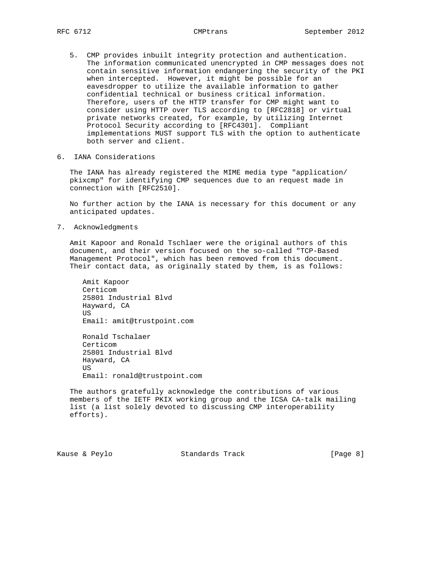- 5. CMP provides inbuilt integrity protection and authentication. The information communicated unencrypted in CMP messages does not contain sensitive information endangering the security of the PKI when intercepted. However, it might be possible for an eavesdropper to utilize the available information to gather confidential technical or business critical information. Therefore, users of the HTTP transfer for CMP might want to consider using HTTP over TLS according to [RFC2818] or virtual private networks created, for example, by utilizing Internet Protocol Security according to [RFC4301]. Compliant implementations MUST support TLS with the option to authenticate both server and client.
- 6. IANA Considerations

 The IANA has already registered the MIME media type "application/ pkixcmp" for identifying CMP sequences due to an request made in connection with [RFC2510].

 No further action by the IANA is necessary for this document or any anticipated updates.

7. Acknowledgments

 Amit Kapoor and Ronald Tschlaer were the original authors of this document, and their version focused on the so-called "TCP-Based Management Protocol", which has been removed from this document. Their contact data, as originally stated by them, is as follows:

 Amit Kapoor Certicom 25801 Industrial Blvd Hayward, CA **US**  Email: amit@trustpoint.com Ronald Tschalaer Certicom 25801 Industrial Blvd Hayward, CA US Email: ronald@trustpoint.com

 The authors gratefully acknowledge the contributions of various members of the IETF PKIX working group and the ICSA CA-talk mailing list (a list solely devoted to discussing CMP interoperability efforts).

Kause & Peylo **Standards Track** [Page 8]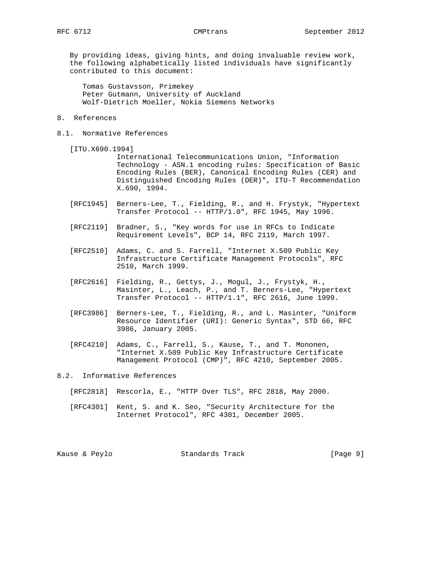By providing ideas, giving hints, and doing invaluable review work, the following alphabetically listed individuals have significantly contributed to this document:

 Tomas Gustavsson, Primekey Peter Gutmann, University of Auckland Wolf-Dietrich Moeller, Nokia Siemens Networks

# 8. References

8.1. Normative References

[ITU.X690.1994]

 International Telecommunications Union, "Information Technology - ASN.1 encoding rules: Specification of Basic Encoding Rules (BER), Canonical Encoding Rules (CER) and Distinguished Encoding Rules (DER)", ITU-T Recommendation X.690, 1994.

- [RFC1945] Berners-Lee, T., Fielding, R., and H. Frystyk, "Hypertext Transfer Protocol -- HTTP/1.0", RFC 1945, May 1996.
- [RFC2119] Bradner, S., "Key words for use in RFCs to Indicate Requirement Levels", BCP 14, RFC 2119, March 1997.
- [RFC2510] Adams, C. and S. Farrell, "Internet X.509 Public Key Infrastructure Certificate Management Protocols", RFC 2510, March 1999.
- [RFC2616] Fielding, R., Gettys, J., Mogul, J., Frystyk, H., Masinter, L., Leach, P., and T. Berners-Lee, "Hypertext Transfer Protocol -- HTTP/1.1", RFC 2616, June 1999.
- [RFC3986] Berners-Lee, T., Fielding, R., and L. Masinter, "Uniform Resource Identifier (URI): Generic Syntax", STD 66, RFC 3986, January 2005.
- [RFC4210] Adams, C., Farrell, S., Kause, T., and T. Mononen, "Internet X.509 Public Key Infrastructure Certificate Management Protocol (CMP)", RFC 4210, September 2005.
- 8.2. Informative References
	- [RFC2818] Rescorla, E., "HTTP Over TLS", RFC 2818, May 2000.
	- [RFC4301] Kent, S. and K. Seo, "Security Architecture for the Internet Protocol", RFC 4301, December 2005.

Kause & Peylo Standards Track [Page 9]